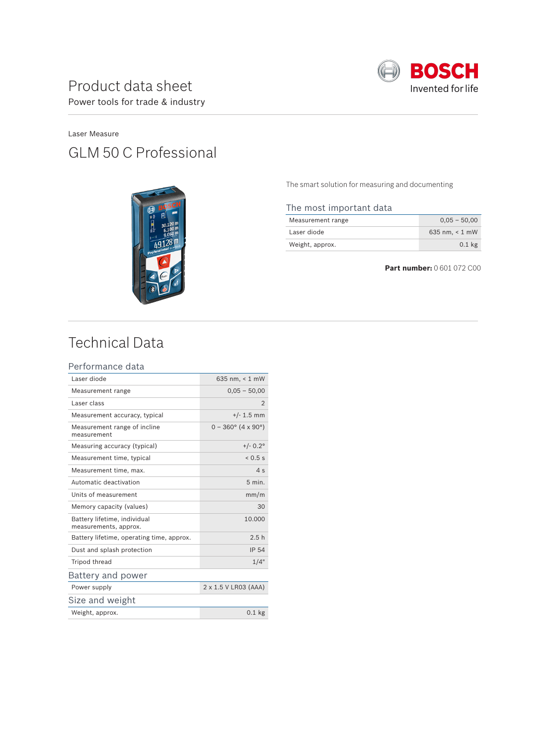

### Laser Measure GLM 50 C Professional



The smart solution for measuring and documenting

#### The most important data

| Measurement range | $0.05 - 50.00$      |
|-------------------|---------------------|
| Laser diode       | 635 nm. $\leq 1$ mW |
| Weight, approx.   | $0.1$ kg            |

**Part number:** 0 601 072 C00

## Technical Data

#### Performance data

| Laser diode                                           | 635 nm, $< 1$ mW            |
|-------------------------------------------------------|-----------------------------|
| Measurement range                                     | $0,05 - 50,00$              |
| Laser class                                           | $\mathfrak{D}$              |
| Measurement accuracy, typical                         | $+/- 1.5$ mm                |
| Measurement range of incline<br>measurement           | $0 - 360^{\circ}$ (4 x 90°) |
| Measuring accuracy (typical)                          | $+/- 0.2^{\circ}$           |
| Measurement time, typical                             | 0.5s                        |
| Measurement time, max.                                | 4s                          |
| Automatic deactivation                                | $5$ min.                    |
| Units of measurement                                  | mm/m                        |
| Memory capacity (values)                              | 30                          |
| Battery lifetime, individual<br>measurements, approx. | 10.000                      |
| Battery lifetime, operating time, approx.             | 2.5h                        |
| Dust and splash protection                            | <b>IP 54</b>                |
| Tripod thread                                         | 1/4"                        |
| Battery and power                                     |                             |
| Power supply                                          | 2 x 1.5 V LR03 (AAA)        |
| Size and weight                                       |                             |
| Weight, approx.                                       | $0.1$ kg                    |
|                                                       |                             |